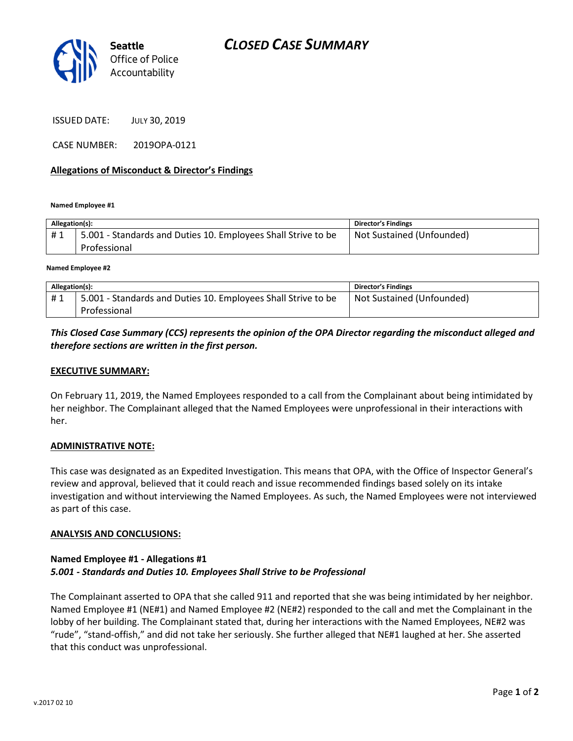

ISSUED DATE: JULY 30, 2019

CASE NUMBER: 2019OPA-0121

### Allegations of Misconduct & Director's Findings

Named Employee #1

| Allegation(s): |                                                               | <b>Director's Findings</b> |
|----------------|---------------------------------------------------------------|----------------------------|
| #1             | 5.001 - Standards and Duties 10. Employees Shall Strive to be | Not Sustained (Unfounded)  |
|                | Professional                                                  |                            |
|                |                                                               |                            |

Named Employee #2

| Allegation(s): |                                                               | <b>Director's Findings</b> |
|----------------|---------------------------------------------------------------|----------------------------|
| #1             | 5.001 - Standards and Duties 10. Employees Shall Strive to be | Not Sustained (Unfounded)  |
|                | Professional                                                  |                            |

### This Closed Case Summary (CCS) represents the opinion of the OPA Director regarding the misconduct alleged and therefore sections are written in the first person.

### EXECUTIVE SUMMARY:

On February 11, 2019, the Named Employees responded to a call from the Complainant about being intimidated by her neighbor. The Complainant alleged that the Named Employees were unprofessional in their interactions with her.

#### ADMINISTRATIVE NOTE:

This case was designated as an Expedited Investigation. This means that OPA, with the Office of Inspector General's review and approval, believed that it could reach and issue recommended findings based solely on its intake investigation and without interviewing the Named Employees. As such, the Named Employees were not interviewed as part of this case.

#### ANALYSIS AND CONCLUSIONS:

# Named Employee #1 - Allegations #1 5.001 - Standards and Duties 10. Employees Shall Strive to be Professional

The Complainant asserted to OPA that she called 911 and reported that she was being intimidated by her neighbor. Named Employee #1 (NE#1) and Named Employee #2 (NE#2) responded to the call and met the Complainant in the lobby of her building. The Complainant stated that, during her interactions with the Named Employees, NE#2 was "rude", "stand-offish," and did not take her seriously. She further alleged that NE#1 laughed at her. She asserted that this conduct was unprofessional.